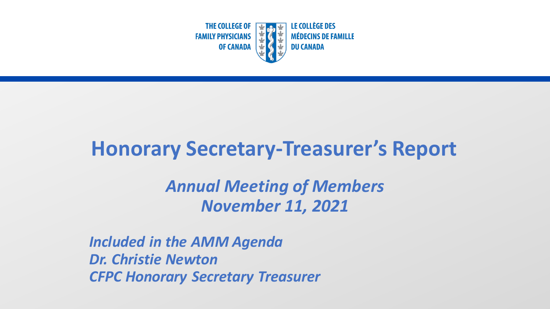

## **Honorary Secretary-Treasurer's Report**

*Annual Meeting of Members November 11, 2021*

*Included in the AMM Agenda Dr. Christie Newton CFPC Honorary Secretary Treasurer*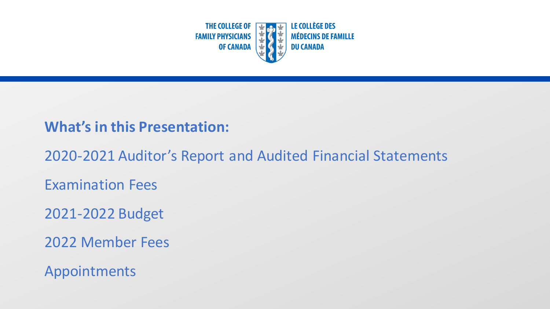

#### **What's in this Presentation:**

2020-2021 Auditor's Report and Audited Financial Statements

Examination Fees

2021-2022 Budget

2022 Member Fees

Appointments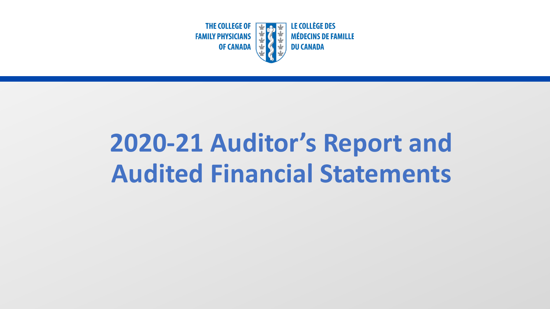

# **2020-21 Auditor's Report and Audited Financial Statements**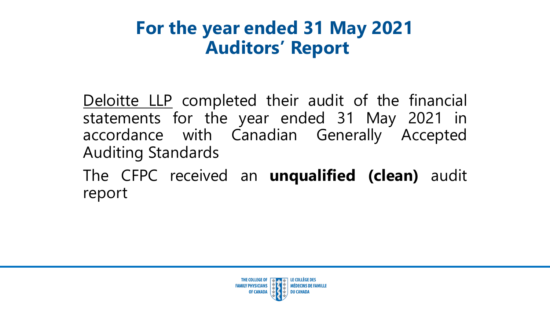## **For the year ended 31 May 2021 Auditors' Report**

Deloitte LLP completed their audit of the financial statements for the year ended 31 May 2021 in accordance with Canadian Generally Accepted Auditing Standards

The CFPC received an **unqualified (clean)** audit report

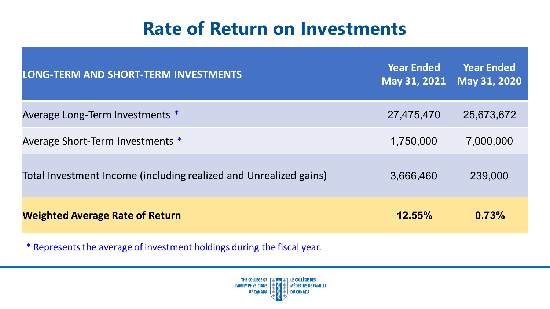### **Rate of Return on Investments**

| <b>LONG-TERM AND SHORT-TERM INVESTMENTS</b>                       | <b>Year Ended</b><br>May 31, 2021 | <b>Year Ended</b><br>May 31, 2020 |
|-------------------------------------------------------------------|-----------------------------------|-----------------------------------|
| Average Long-Term Investments *                                   | 27,475,470                        | 25,673,672                        |
| Average Short-Term Investments *                                  | 1,750,000                         | 7,000,000                         |
| Total Investment Income (including realized and Unrealized gains) | 3,666,460                         | 239,000                           |
| <b>Weighted Average Rate of Return</b>                            | $12.55\%$                         | 0.73%                             |

\* Represents the average of investment holdings during the fiscal year.

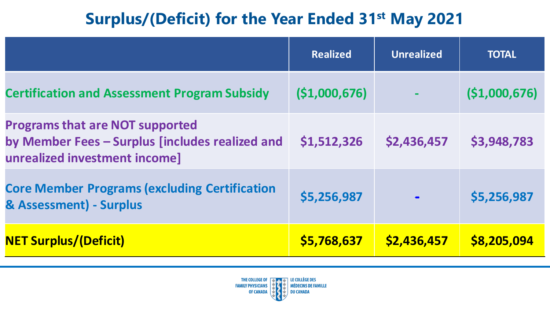### **Surplus/(Deficit) for the Year Ended 31st May 2021**

|                                                                                                                            | <b>Realized</b> | <b>Unrealized</b> | <b>TOTAL</b> |
|----------------------------------------------------------------------------------------------------------------------------|-----------------|-------------------|--------------|
| <b>Certification and Assessment Program Subsidy</b>                                                                        | (51,000,676)    |                   | (51,000,676) |
| <b>Programs that are NOT supported</b><br>by Member Fees - Surplus [includes realized and<br>unrealized investment income] | \$1,512,326     | \$2,436,457       | \$3,948,783  |
| <b>Core Member Programs (excluding Certification</b><br>& Assessment) - Surplus                                            | \$5,256,987     |                   | \$5,256,987  |
| <b>NET Surplus/(Deficit)</b>                                                                                               | \$5,768,637     | \$2,436,457       | \$8,205,094  |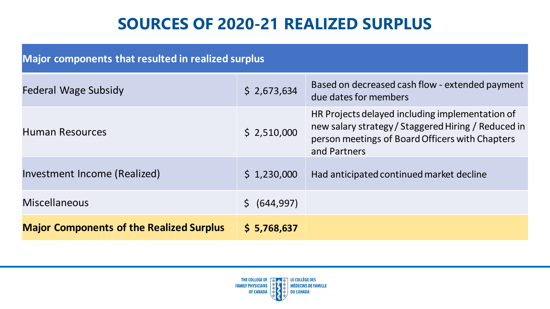### **SOURCES OF 2020-21 REALIZED SURPLUS**

| <b>Major components that resulted in realized surplus</b> |               |                                                                                                                                                                           |  |  |
|-----------------------------------------------------------|---------------|---------------------------------------------------------------------------------------------------------------------------------------------------------------------------|--|--|
| Federal Wage Subsidy                                      | \$2,673,634   | Based on decreased cash flow - extended payment<br>due dates for members                                                                                                  |  |  |
| <b>Human Resources</b>                                    | \$2,510,000   | HR Projects delayed including implementation of<br>new salary strategy / Staggered Hiring / Reduced in<br>person meetings of Board Officers with Chapters<br>and Partners |  |  |
| Investment Income (Realized)                              | \$1,230,000   | Had anticipated continued market decline                                                                                                                                  |  |  |
| <b>Miscellaneous</b>                                      | \$ (644, 997) |                                                                                                                                                                           |  |  |
| <b>Major Components of the Realized Surplus</b>           | \$5,768,637   |                                                                                                                                                                           |  |  |

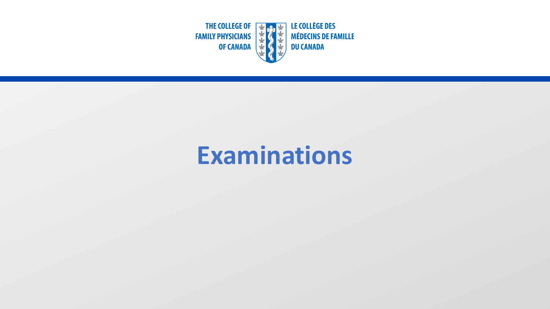

## **Examinations**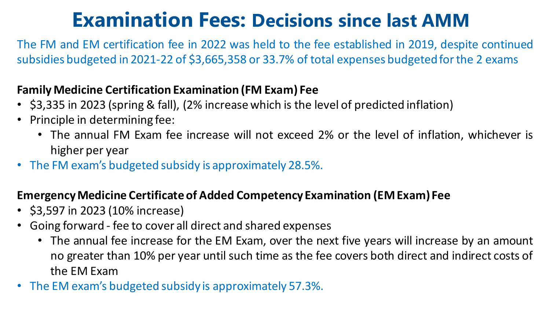## **Examination Fees: Decisions since last AMM**

The FM and EM certification fee in 2022 was held to the fee established in 2019, despite continued subsidies budgeted in 2021-22 of \$3,665,358 or 33.7% of total expenses budgetedforthe 2 exams

#### **FamilyMedicine Certification Examination (FM Exam) Fee**

- \$3,335 in 2023 (spring & fall), (2% increase which is the level of predicted inflation)
- Principle in determining fee:
	- The annual FM Exam fee increase will not exceed 2% or the level of inflation, whichever is higher per year
- The FM exam's budgeted subsidy is approximately 28.5%.

#### **EmergencyMedicine Certificate of Added Competency Examination (EMExam) Fee**

- \$3,597 in 2023 (10% increase)
- Going forward fee to cover all direct and shared expenses
	- The annual fee increase for the EM Exam, over the next five years will increase by an amount no greater than 10% per year until such time as the fee covers both direct and indirect costs of the EM Exam
- The EM exam's budgeted subsidy is approximately 57.3%.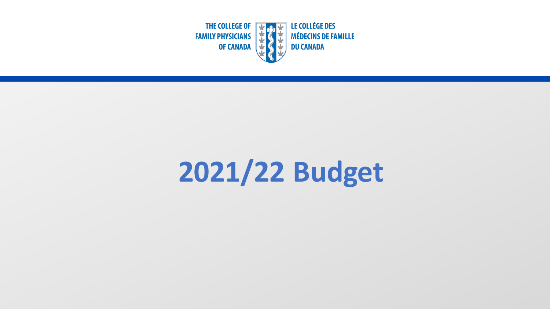

# **2021/22 Budget**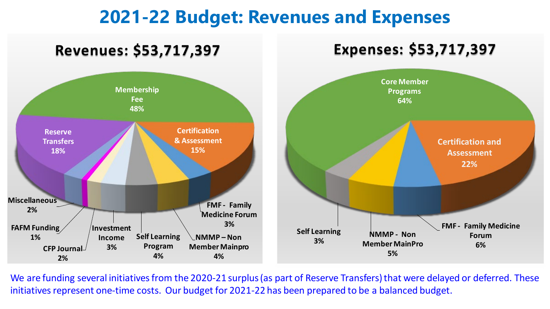### **2021-22 Budget: Revenues and Expenses**



We are funding several initiatives from the 2020-21 surplus (as part of Reserve Transfers) that were delayed or deferred. These initiatives represent one-time costs. Our budget for 2021-22 has been prepared to be a balanced budget.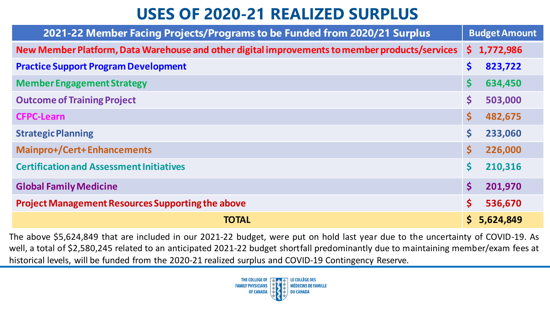### **USES OF 2020-21 REALIZED SURPLUS**

| 2021-22 Member Facing Projects/Programs to be Funded from 2020/21 Surplus                      | <b>Budget Amount</b>            |
|------------------------------------------------------------------------------------------------|---------------------------------|
| New Member Platform, Data Warehouse and other digital improvements to member products/services | \$1,772,986                     |
| <b>Practice Support Program Development</b>                                                    | \$<br>823,722                   |
| <b>Member Engagement Strategy</b>                                                              | \$<br>634,450                   |
| <b>Outcome of Training Project</b>                                                             | \$<br>503,000                   |
| <b>CFPC-Learn</b>                                                                              | \$<br>482,675                   |
| <b>Strategic Planning</b>                                                                      | \$<br>233,060                   |
| <b>Mainpro+/Cert+Enhancements</b>                                                              | $\mathsf{S}$<br>226,000         |
| <b>Certification and Assessment Initiatives</b>                                                | \$<br>210,316                   |
| <b>Global Family Medicine</b>                                                                  | $\boldsymbol{\zeta}$<br>201,970 |
| <b>Project Management Resources Supporting the above</b>                                       | \$<br>536,670                   |
| <b>TOTAL</b>                                                                                   | \$5,624,849                     |

The above \$5,624,849 that are included in our 2021-22 budget, were put on hold last year due to the uncertainty of COVID-19. As well, a total of \$2,580,245 related to an anticipated 2021-22 budget shortfall predominantly due to maintaining member/exam fees at historical levels, will be funded from the 2020-21 realized surplus and COVID-19 Contingency Reserve.

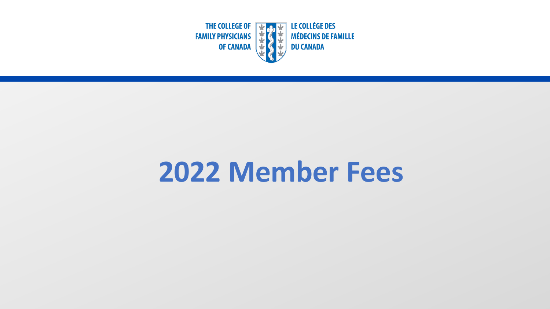

# **2022 Member Fees**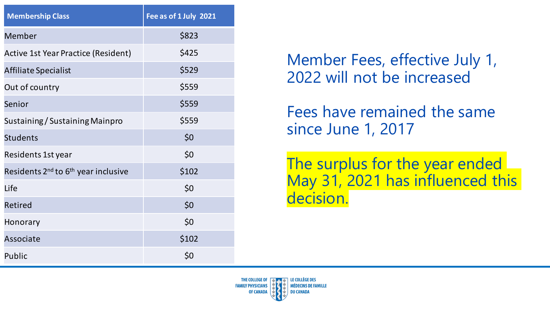| <b>Membership Class</b>                                     | Fee as of 1 July 2021 |
|-------------------------------------------------------------|-----------------------|
| <b>Member</b>                                               | \$823                 |
| <b>Active 1st Year Practice (Resident)</b>                  | \$425                 |
| Affiliate Specialist                                        | \$529                 |
| Out of country                                              | \$559                 |
| Senior                                                      | \$559                 |
| Sustaining / Sustaining Mainpro                             | \$559                 |
| <b>Students</b>                                             | \$0                   |
| Residents 1st year                                          | \$0                   |
| Residents 2 <sup>nd</sup> to 6 <sup>th</sup> year inclusive | \$102                 |
| Life                                                        | \$0                   |
| <b>Retired</b>                                              | \$0                   |
| Honorary                                                    | \$0                   |
| Associate                                                   | \$102                 |
| Public                                                      | \$0                   |

Member Fees, effective July 1, 2022 will not be increased

Fees have remained the same since June 1, 2017

The surplus for the year ended May 31, 2021 has influenced this decision.

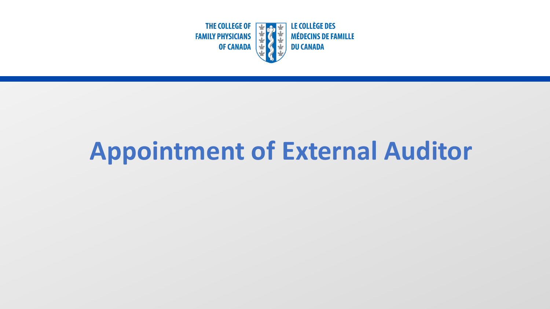

# **Appointment of External Auditor**